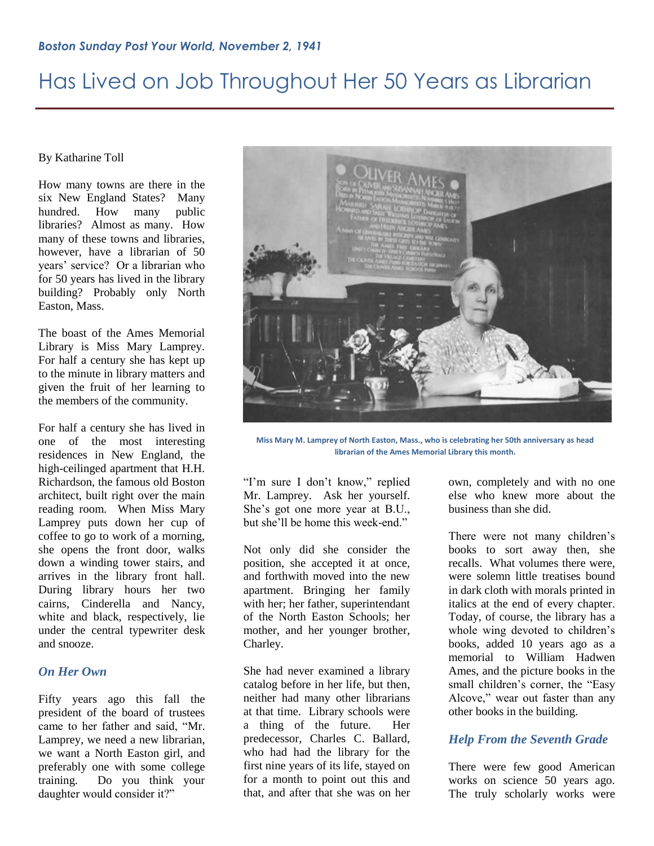#### By Katharine Toll

How many towns are there in the six New England States? Many hundred. How many public libraries? Almost as many. How many of these towns and libraries, however, have a librarian of 50 years" service? Or a librarian who for 50 years has lived in the library building? Probably only North Easton, Mass.

The boast of the Ames Memorial Library is Miss Mary Lamprey. For half a century she has kept up to the minute in library matters and given the fruit of her learning to the members of the community.

For half a century she has lived in one of the most interesting residences in New England, the high-ceilinged apartment that H.H. Richardson, the famous old Boston architect, built right over the main reading room. When Miss Mary Lamprey puts down her cup of coffee to go to work of a morning, she opens the front door, walks down a winding tower stairs, and arrives in the library front hall. During library hours her two cairns, Cinderella and Nancy, white and black, respectively, lie under the central typewriter desk and snooze.

#### *On Her Own*

Fifty years ago this fall the president of the board of trustees came to her father and said, "Mr. Lamprey, we need a new librarian, we want a North Easton girl, and preferably one with some college training. Do you think your daughter would consider it?"



**Miss Mary M. Lamprey of North Easton, Mass., who is celebrating her 50th anniversary as head librarian of the Ames Memorial Library this month.**

"I'm sure I don't know," replied Mr. Lamprey. Ask her yourself. She"s got one more year at B.U., but she'll be home this week-end."

Not only did she consider the position, she accepted it at once, and forthwith moved into the new apartment. Bringing her family with her; her father, superintendant of the North Easton Schools; her mother, and her younger brother, Charley.

She had never examined a library catalog before in her life, but then, neither had many other librarians at that time. Library schools were a thing of the future. Her predecessor, Charles C. Ballard, who had had the library for the first nine years of its life, stayed on for a month to point out this and that, and after that she was on her

own, completely and with no one else who knew more about the business than she did.

There were not many children's books to sort away then, she recalls. What volumes there were, were solemn little treatises bound in dark cloth with morals printed in italics at the end of every chapter. Today, of course, the library has a whole wing devoted to children's books, added 10 years ago as a memorial to William Hadwen Ames, and the picture books in the small children"s corner, the "Easy Alcove," wear out faster than any other books in the building.

### *Help From the Seventh Grade*

There were few good American works on science 50 years ago. The truly scholarly works were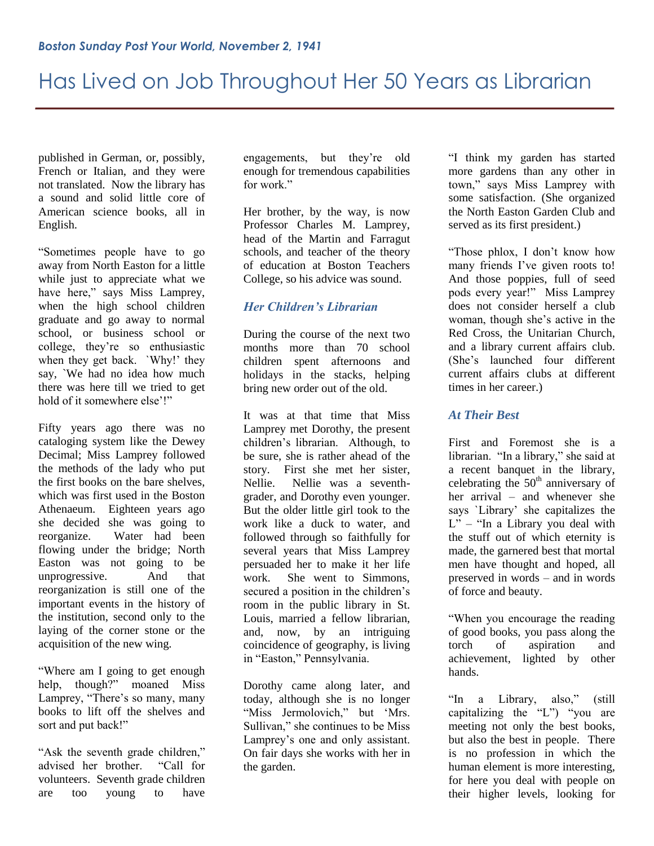published in German, or, possibly, French or Italian, and they were not translated. Now the library has a sound and solid little core of American science books, all in English.

"Sometimes people have to go away from North Easton for a little while just to appreciate what we have here," says Miss Lamprey, when the high school children graduate and go away to normal school, or business school or college, they"re so enthusiastic when they get back. `Why!' they say, `We had no idea how much there was here till we tried to get hold of it somewhere else'!"

Fifty years ago there was no cataloging system like the Dewey Decimal; Miss Lamprey followed the methods of the lady who put the first books on the bare shelves, which was first used in the Boston Athenaeum. Eighteen years ago she decided she was going to reorganize. Water had been flowing under the bridge; North Easton was not going to be unprogressive. And that reorganization is still one of the important events in the history of the institution, second only to the laying of the corner stone or the acquisition of the new wing.

"Where am I going to get enough help, though?" moaned Miss Lamprey, "There's so many, many books to lift off the shelves and sort and put back!"

"Ask the seventh grade children," advised her brother. "Call for volunteers. Seventh grade children are too young to have

engagements, but they"re old enough for tremendous capabilities for work"

Her brother, by the way, is now Professor Charles M. Lamprey, head of the Martin and Farragut schools, and teacher of the theory of education at Boston Teachers College, so his advice was sound.

### *Her Children's Librarian*

During the course of the next two months more than 70 school children spent afternoons and holidays in the stacks, helping bring new order out of the old.

It was at that time that Miss Lamprey met Dorothy, the present children"s librarian. Although, to be sure, she is rather ahead of the story. First she met her sister, Nellie. Nellie was a seventhgrader, and Dorothy even younger. But the older little girl took to the work like a duck to water, and followed through so faithfully for several years that Miss Lamprey persuaded her to make it her life work. She went to Simmons, secured a position in the children's room in the public library in St. Louis, married a fellow librarian, and, now, by an intriguing coincidence of geography, is living in "Easton," Pennsylvania.

Dorothy came along later, and today, although she is no longer "Miss Jermolovich," but 'Mrs. Sullivan," she continues to be Miss Lamprey's one and only assistant. On fair days she works with her in the garden.

"I think my garden has started more gardens than any other in town," says Miss Lamprey with some satisfaction. (She organized the North Easton Garden Club and served as its first president.)

"Those phlox, I don"t know how many friends I've given roots to! And those poppies, full of seed pods every year!" Miss Lamprey does not consider herself a club woman, though she"s active in the Red Cross, the Unitarian Church, and a library current affairs club. (She"s launched four different current affairs clubs at different times in her career.)

### *At Their Best*

First and Foremost she is a librarian. "In a library," she said at a recent banquet in the library, celebrating the  $50<sup>th</sup>$  anniversary of her arrival – and whenever she says `Library" she capitalizes the  $L'' -$  "In a Library you deal with the stuff out of which eternity is made, the garnered best that mortal men have thought and hoped, all preserved in words – and in words of force and beauty.

"When you encourage the reading of good books, you pass along the torch of aspiration and achievement, lighted by other hands.

"In a Library, also," (still capitalizing the "L") "you are meeting not only the best books, but also the best in people. There is no profession in which the human element is more interesting, for here you deal with people on their higher levels, looking for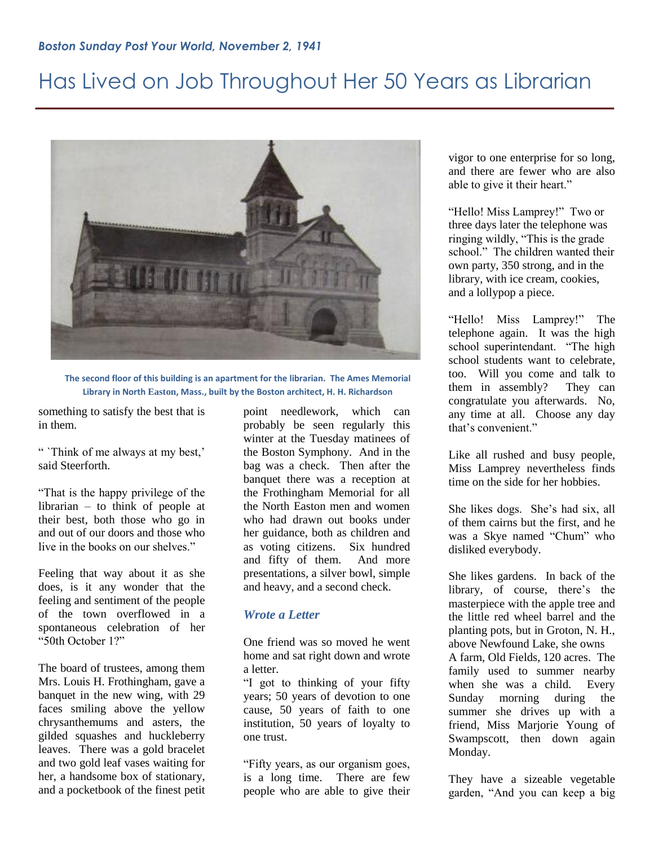

**The second floor of this building is an apartment for the librarian. The Ames Memorial Library in North Easton, Mass., built by the Boston architect, H. H. Richardson**

something to satisfy the best that is in them.

" 'Think of me always at my best,' said Steerforth.

"That is the happy privilege of the librarian – to think of people at their best, both those who go in and out of our doors and those who live in the books on our shelves."

Feeling that way about it as she does, is it any wonder that the feeling and sentiment of the people of the town overflowed in a spontaneous celebration of her "50th October 1?"

The board of trustees, among them Mrs. Louis H. Frothingham, gave a banquet in the new wing, with 29 faces smiling above the yellow chrysanthemums and asters, the gilded squashes and huckleberry leaves. There was a gold bracelet and two gold leaf vases waiting for her, a handsome box of stationary, and a pocketbook of the finest petit

point needlework, which can probably be seen regularly this winter at the Tuesday matinees of the Boston Symphony. And in the bag was a check. Then after the banquet there was a reception at the Frothingham Memorial for all the North Easton men and women who had drawn out books under her guidance, both as children and as voting citizens. Six hundred and fifty of them. And more presentations, a silver bowl, simple and heavy, and a second check.

### *Wrote a Letter*

One friend was so moved he went home and sat right down and wrote a letter.

"I got to thinking of your fifty years; 50 years of devotion to one cause, 50 years of faith to one institution, 50 years of loyalty to one trust.

"Fifty years, as our organism goes, is a long time. There are few people who are able to give their vigor to one enterprise for so long, and there are fewer who are also able to give it their heart."

"Hello! Miss Lamprey!" Two or three days later the telephone was ringing wildly, "This is the grade school." The children wanted their own party, 350 strong, and in the library, with ice cream, cookies, and a lollypop a piece.

"Hello! Miss Lamprey!" The telephone again. It was the high school superintendant. "The high school students want to celebrate, too. Will you come and talk to them in assembly? They can congratulate you afterwards. No, any time at all. Choose any day that's convenient."

Like all rushed and busy people, Miss Lamprey nevertheless finds time on the side for her hobbies.

She likes dogs. She"s had six, all of them cairns but the first, and he was a Skye named "Chum" who disliked everybody.

She likes gardens. In back of the library, of course, there's the masterpiece with the apple tree and the little red wheel barrel and the planting pots, but in Groton, N. H., above Newfound Lake, she owns A farm, Old Fields, 120 acres. The family used to summer nearby when she was a child. Every Sunday morning during the summer she drives up with a friend, Miss Marjorie Young of Swampscott, then down again Monday.

They have a sizeable vegetable garden, "And you can keep a big